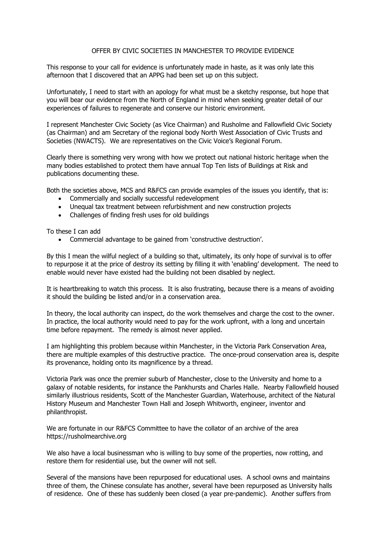## OFFER BY CIVIC SOCIETIES IN MANCHESTER TO PROVIDE EVIDENCE

This response to your call for evidence is unfortunately made in haste, as it was only late this afternoon that I discovered that an APPG had been set up on this subject.

Unfortunately, I need to start with an apology for what must be a sketchy response, but hope that you will bear our evidence from the North of England in mind when seeking greater detail of our experiences of failures to regenerate and conserve our historic environment.

I represent Manchester Civic Society (as Vice Chairman) and Rusholme and Fallowfield Civic Society (as Chairman) and am Secretary of the regional body North West Association of Civic Trusts and Societies (NWACTS). We are representatives on the Civic Voice's Regional Forum.

Clearly there is something very wrong with how we protect out national historic heritage when the many bodies established to protect them have annual Top Ten lists of Buildings at Risk and publications documenting these.

Both the societies above, MCS and R&FCS can provide examples of the issues you identify, that is:

- Commercially and socially successful redevelopment
- Unequal tax treatment between refurbishment and new construction projects
- Challenges of finding fresh uses for old buildings

To these I can add

• Commercial advantage to be gained from 'constructive destruction'.

By this I mean the wilful neglect of a building so that, ultimately, its only hope of survival is to offer to repurpose it at the price of destroy its setting by filling it with 'enabling' development. The need to enable would never have existed had the building not been disabled by neglect.

It is heartbreaking to watch this process. It is also frustrating, because there is a means of avoiding it should the building be listed and/or in a conservation area.

In theory, the local authority can inspect, do the work themselves and charge the cost to the owner. In practice, the local authority would need to pay for the work upfront, with a long and uncertain time before repayment. The remedy is almost never applied.

I am highlighting this problem because within Manchester, in the Victoria Park Conservation Area, there are multiple examples of this destructive practice. The once-proud conservation area is, despite its provenance, holding onto its magnificence by a thread.

Victoria Park was once the premier suburb of Manchester, close to the University and home to a galaxy of notable residents, for instance the Pankhursts and Charles Halle. Nearby Fallowfield housed similarly illustrious residents, Scott of the Manchester Guardian, Waterhouse, architect of the Natural History Museum and Manchester Town Hall and Joseph Whitworth, engineer, inventor and philanthropist.

We are fortunate in our R&FCS Committee to have the collator of an archive of the area https://rusholmearchive.org

We also have a local businessman who is willing to buy some of the properties, now rotting, and restore them for residential use, but the owner will not sell.

Several of the mansions have been repurposed for educational uses. A school owns and maintains three of them, the Chinese consulate has another, several have been repurposed as University halls of residence. One of these has suddenly been closed (a year pre-pandemic). Another suffers from